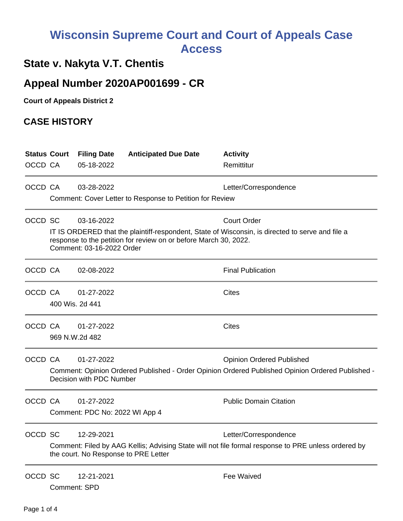## **Wisconsin Supreme Court and Court of Appeals Case Access**

## **State v. Nakyta V.T. Chentis**

## **Appeal Number 2020AP001699 - CR**

**Court of Appeals District 2**

## **CASE HISTORY**

|         | <b>Status Court</b>                                                                                                                                                                               | <b>Filing Date</b>                   | <b>Anticipated Due Date</b>                                                                         | <b>Activity</b>                                                                                  |  |
|---------|---------------------------------------------------------------------------------------------------------------------------------------------------------------------------------------------------|--------------------------------------|-----------------------------------------------------------------------------------------------------|--------------------------------------------------------------------------------------------------|--|
| OCCD CA |                                                                                                                                                                                                   | 05-18-2022                           |                                                                                                     | Remittitur                                                                                       |  |
| OCCD CA |                                                                                                                                                                                                   | 03-28-2022                           |                                                                                                     | Letter/Correspondence                                                                            |  |
|         |                                                                                                                                                                                                   |                                      | Comment: Cover Letter to Response to Petition for Review                                            |                                                                                                  |  |
| OCCD SC |                                                                                                                                                                                                   | 03-16-2022                           |                                                                                                     | <b>Court Order</b>                                                                               |  |
|         | IT IS ORDERED that the plaintiff-respondent, State of Wisconsin, is directed to serve and file a<br>response to the petition for review on or before March 30, 2022.<br>Comment: 03-16-2022 Order |                                      |                                                                                                     |                                                                                                  |  |
| OCCD CA |                                                                                                                                                                                                   | 02-08-2022                           |                                                                                                     | <b>Final Publication</b>                                                                         |  |
| OCCD CA |                                                                                                                                                                                                   | 01-27-2022                           |                                                                                                     | <b>Cites</b>                                                                                     |  |
|         | 400 Wis. 2d 441                                                                                                                                                                                   |                                      |                                                                                                     |                                                                                                  |  |
| OCCD CA |                                                                                                                                                                                                   | 01-27-2022                           |                                                                                                     | <b>Cites</b>                                                                                     |  |
|         |                                                                                                                                                                                                   | 969 N.W.2d 482                       |                                                                                                     |                                                                                                  |  |
| OCCD CA |                                                                                                                                                                                                   | 01-27-2022                           |                                                                                                     | <b>Opinion Ordered Published</b>                                                                 |  |
|         |                                                                                                                                                                                                   | Decision with PDC Number             |                                                                                                     | Comment: Opinion Ordered Published - Order Opinion Ordered Published Opinion Ordered Published - |  |
| OCCD CA |                                                                                                                                                                                                   | 01-27-2022                           |                                                                                                     | <b>Public Domain Citation</b>                                                                    |  |
|         | Comment: PDC No: 2022 WI App 4                                                                                                                                                                    |                                      |                                                                                                     |                                                                                                  |  |
| OCCD SC |                                                                                                                                                                                                   | 12-29-2021                           |                                                                                                     | Letter/Correspondence                                                                            |  |
|         |                                                                                                                                                                                                   | the court. No Response to PRE Letter | Comment: Filed by AAG Kellis; Advising State will not file formal response to PRE unless ordered by |                                                                                                  |  |
| OCCD SC | Comment: SPD                                                                                                                                                                                      | 12-21-2021                           |                                                                                                     | Fee Waived                                                                                       |  |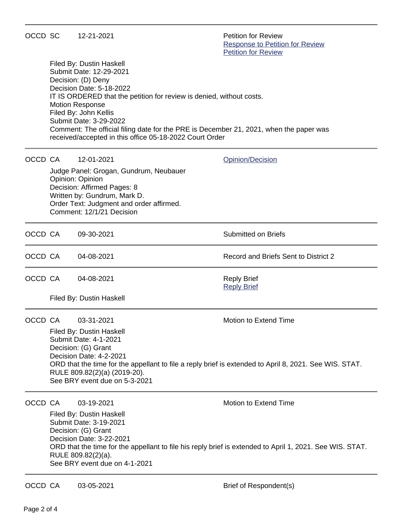| OCCD SC |                                                                                                                                                                                                                                                                                                                                                                                                                 | 12-21-2021                                                                                                                                                                                         | <b>Petition for Review</b><br><b>Response to Petition for Review</b><br><b>Petition for Review</b> |  |  |  |
|---------|-----------------------------------------------------------------------------------------------------------------------------------------------------------------------------------------------------------------------------------------------------------------------------------------------------------------------------------------------------------------------------------------------------------------|----------------------------------------------------------------------------------------------------------------------------------------------------------------------------------------------------|----------------------------------------------------------------------------------------------------|--|--|--|
|         | Filed By: Dustin Haskell<br>Submit Date: 12-29-2021<br>Decision: (D) Deny<br>Decision Date: 5-18-2022<br>IT IS ORDERED that the petition for review is denied, without costs.<br><b>Motion Response</b><br>Filed By: John Kellis<br>Submit Date: 3-29-2022<br>Comment: The official filing date for the PRE is December 21, 2021, when the paper was<br>received/accepted in this office 05-18-2022 Court Order |                                                                                                                                                                                                    |                                                                                                    |  |  |  |
| OCCD CA |                                                                                                                                                                                                                                                                                                                                                                                                                 | 12-01-2021                                                                                                                                                                                         | <b>Opinion/Decision</b>                                                                            |  |  |  |
|         |                                                                                                                                                                                                                                                                                                                                                                                                                 | Judge Panel: Grogan, Gundrum, Neubauer<br>Opinion: Opinion<br>Decision: Affirmed Pages: 8<br>Written by: Gundrum, Mark D.<br>Order Text: Judgment and order affirmed.<br>Comment: 12/1/21 Decision |                                                                                                    |  |  |  |
| OCCD CA |                                                                                                                                                                                                                                                                                                                                                                                                                 | 09-30-2021                                                                                                                                                                                         | <b>Submitted on Briefs</b>                                                                         |  |  |  |
| OCCD CA |                                                                                                                                                                                                                                                                                                                                                                                                                 | 04-08-2021                                                                                                                                                                                         | Record and Briefs Sent to District 2                                                               |  |  |  |
| OCCD CA |                                                                                                                                                                                                                                                                                                                                                                                                                 | 04-08-2021<br>Filed By: Dustin Haskell                                                                                                                                                             | <b>Reply Brief</b><br><b>Reply Brief</b>                                                           |  |  |  |
|         |                                                                                                                                                                                                                                                                                                                                                                                                                 |                                                                                                                                                                                                    |                                                                                                    |  |  |  |
| OCCD CA |                                                                                                                                                                                                                                                                                                                                                                                                                 | 03-31-2021<br>Filed By: Dustin Haskell<br><b>Submit Date: 4-1-2021</b>                                                                                                                             | <b>Motion to Extend Time</b>                                                                       |  |  |  |
|         | Decision: (G) Grant<br>Decision Date: 4-2-2021<br>ORD that the time for the appellant to file a reply brief is extended to April 8, 2021. See WIS. STAT.<br>RULE 809.82(2)(a) (2019-20).<br>See BRY event due on 5-3-2021                                                                                                                                                                                       |                                                                                                                                                                                                    |                                                                                                    |  |  |  |
| OCCD CA |                                                                                                                                                                                                                                                                                                                                                                                                                 | 03-19-2021                                                                                                                                                                                         | <b>Motion to Extend Time</b>                                                                       |  |  |  |
|         | Filed By: Dustin Haskell<br>Submit Date: 3-19-2021<br>Decision: (G) Grant<br>Decision Date: 3-22-2021<br>ORD that the time for the appellant to file his reply brief is extended to April 1, 2021. See WIS. STAT.<br>RULE 809.82(2)(a).<br>See BRY event due on 4-1-2021                                                                                                                                        |                                                                                                                                                                                                    |                                                                                                    |  |  |  |
| OCCD CA |                                                                                                                                                                                                                                                                                                                                                                                                                 | 03-05-2021                                                                                                                                                                                         | Brief of Respondent(s)                                                                             |  |  |  |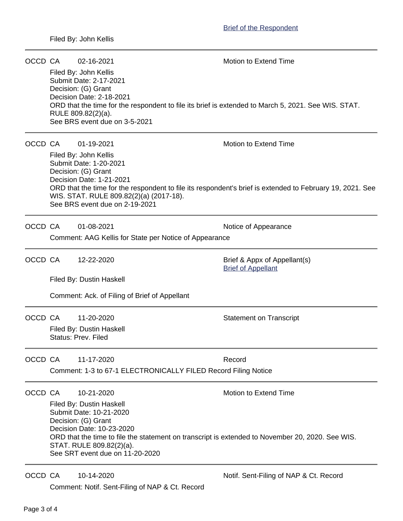| OCCD CA |                                                                                                                              | 02-16-2021                                                                                                                            | <b>Motion to Extend Time</b>           |  |  |  |  |  |
|---------|------------------------------------------------------------------------------------------------------------------------------|---------------------------------------------------------------------------------------------------------------------------------------|----------------------------------------|--|--|--|--|--|
|         |                                                                                                                              | Filed By: John Kellis<br>Submit Date: 2-17-2021                                                                                       |                                        |  |  |  |  |  |
|         |                                                                                                                              | Decision: (G) Grant<br>Decision Date: 2-18-2021                                                                                       |                                        |  |  |  |  |  |
|         |                                                                                                                              | ORD that the time for the respondent to file its brief is extended to March 5, 2021. See WIS. STAT.<br>RULE 809.82(2)(a).             |                                        |  |  |  |  |  |
|         |                                                                                                                              | See BRS event due on 3-5-2021                                                                                                         |                                        |  |  |  |  |  |
| OCCD CA |                                                                                                                              | 01-19-2021                                                                                                                            | <b>Motion to Extend Time</b>           |  |  |  |  |  |
|         | Filed By: John Kellis                                                                                                        |                                                                                                                                       |                                        |  |  |  |  |  |
|         |                                                                                                                              | Submit Date: 1-20-2021<br>Decision: (G) Grant                                                                                         |                                        |  |  |  |  |  |
|         |                                                                                                                              | Decision Date: 1-21-2021<br>ORD that the time for the respondent to file its respondent's brief is extended to February 19, 2021. See |                                        |  |  |  |  |  |
|         |                                                                                                                              | WIS. STAT. RULE 809.82(2)(a) (2017-18).                                                                                               |                                        |  |  |  |  |  |
|         |                                                                                                                              | See BRS event due on 2-19-2021                                                                                                        |                                        |  |  |  |  |  |
| OCCD CA |                                                                                                                              | 01-08-2021                                                                                                                            | Notice of Appearance                   |  |  |  |  |  |
|         | Comment: AAG Kellis for State per Notice of Appearance                                                                       |                                                                                                                                       |                                        |  |  |  |  |  |
| OCCD CA |                                                                                                                              | 12-22-2020                                                                                                                            | Brief & Appx of Appellant(s)           |  |  |  |  |  |
|         |                                                                                                                              |                                                                                                                                       | <b>Brief of Appellant</b>              |  |  |  |  |  |
|         |                                                                                                                              | Filed By: Dustin Haskell                                                                                                              |                                        |  |  |  |  |  |
|         |                                                                                                                              | Comment: Ack. of Filing of Brief of Appellant                                                                                         |                                        |  |  |  |  |  |
| OCCD CA |                                                                                                                              | 11-20-2020                                                                                                                            | <b>Statement on Transcript</b>         |  |  |  |  |  |
|         |                                                                                                                              | Filed By: Dustin Haskell<br>Status: Prev. Filed                                                                                       |                                        |  |  |  |  |  |
| OCCD CA |                                                                                                                              | 11-17-2020                                                                                                                            | Record                                 |  |  |  |  |  |
|         | Comment: 1-3 to 67-1 ELECTRONICALLY FILED Record Filing Notice                                                               |                                                                                                                                       |                                        |  |  |  |  |  |
| OCCD CA |                                                                                                                              | 10-21-2020                                                                                                                            | Motion to Extend Time                  |  |  |  |  |  |
|         | Filed By: Dustin Haskell                                                                                                     |                                                                                                                                       |                                        |  |  |  |  |  |
|         |                                                                                                                              | Submit Date: 10-21-2020<br>Decision: (G) Grant                                                                                        |                                        |  |  |  |  |  |
|         | Decision Date: 10-23-2020                                                                                                    |                                                                                                                                       |                                        |  |  |  |  |  |
|         | ORD that the time to file the statement on transcript is extended to November 20, 2020. See WIS.<br>STAT. RULE 809.82(2)(a). |                                                                                                                                       |                                        |  |  |  |  |  |
|         |                                                                                                                              | See SRT event due on 11-20-2020                                                                                                       |                                        |  |  |  |  |  |
| OCCD CA |                                                                                                                              | 10-14-2020                                                                                                                            | Notif. Sent-Filing of NAP & Ct. Record |  |  |  |  |  |

Comment: Notif. Sent-Filing of NAP & Ct. Record